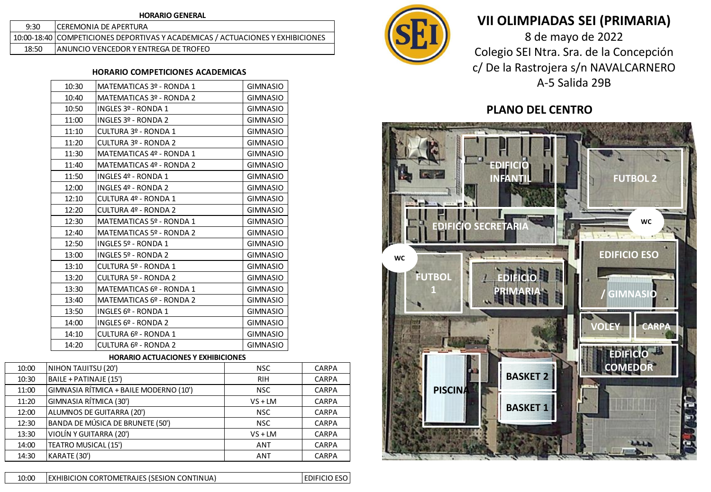| <b>HORARIO GENERAL</b> |                                                                                |  |  |  |  |  |  |
|------------------------|--------------------------------------------------------------------------------|--|--|--|--|--|--|
| 9:30                   | <b>ICEREMONIA DE APERTURA</b>                                                  |  |  |  |  |  |  |
|                        | 10:00-18:40 COMPETICIONES DEPORTIVAS Y ACADEMICAS / ACTUACIONES Y EXHIBICIONES |  |  |  |  |  |  |
| 18:50                  | IANUNCIO VENCEDOR Y ENTREGA DE TROFEO                                          |  |  |  |  |  |  |

## **HORARIO COMPETICIONES ACADEMICAS**

| 10:30 | MATEMATICAS 3º - RONDA 1 | <b>GIMNASIO</b> |
|-------|--------------------------|-----------------|
| 10:40 | MATEMATICAS 3º - RONDA 2 | <b>GIMNASIO</b> |
| 10:50 | INGLES 3º - RONDA 1      | <b>GIMNASIO</b> |
| 11:00 | INGLES 3º - RONDA 2      | <b>GIMNASIO</b> |
| 11:10 | CULTURA 3º - RONDA 1     | <b>GIMNASIO</b> |
| 11:20 | CULTURA 3º - RONDA 2     | <b>GIMNASIO</b> |
| 11:30 | MATEMATICAS 4º - RONDA 1 | <b>GIMNASIO</b> |
| 11:40 | MATEMATICAS 4º - RONDA 2 | <b>GIMNASIO</b> |
| 11:50 | INGLES 4º - RONDA 1      | <b>GIMNASIO</b> |
| 12:00 | INGLES 4º - RONDA 2      | <b>GIMNASIO</b> |
| 12:10 | CULTURA 4º - RONDA 1     | <b>GIMNASIO</b> |
| 12:20 | CULTURA 4º - RONDA 2     | <b>GIMNASIO</b> |
| 12:30 | MATEMATICAS 5º - RONDA 1 | <b>GIMNASIO</b> |
| 12:40 | MATEMATICAS 5º - RONDA 2 | <b>GIMNASIO</b> |
| 12:50 | INGLES 5º - RONDA 1      | <b>GIMNASIO</b> |
| 13:00 | INGLES 5º - RONDA 2      | <b>GIMNASIO</b> |
| 13:10 | CULTURA 5º - RONDA 1     | <b>GIMNASIO</b> |
| 13:20 | CULTURA 5º - RONDA 2     | <b>GIMNASIO</b> |
| 13:30 | MATEMATICAS 6º - RONDA 1 | <b>GIMNASIO</b> |
| 13:40 | MATEMATICAS 6º - RONDA 2 | <b>GIMNASIO</b> |
| 13:50 | INGLES 6º - RONDA 1      | <b>GIMNASIO</b> |
| 14:00 | INGLES $69 - RONDA$ 2    | <b>GIMNASIO</b> |
| 14:10 | CULTURA 6º - RONDA 1     | <b>GIMNASIO</b> |
| 14:20 | CULTURA 6º - RONDA 2     | <b>GIMNASIO</b> |
|       |                          |                 |

### **HORARIO ACTUACIONES Y EXHIBICIONES**

| 10:00 | NIHON TAIJITSU (20')                   | NSC.       | <b>CARPA</b> |
|-------|----------------------------------------|------------|--------------|
| 10:30 | BAILE + PATINAJE (15')                 | <b>RIH</b> | <b>CARPA</b> |
| 11:00 | GIMNASIA RÍTMICA + BAILE MODERNO (10') | <b>NSC</b> | <b>CARPA</b> |
| 11:20 | GIMNASIA RÍTMICA (30')                 | $VS + LM$  | <b>CARPA</b> |
| 12:00 | ALUMNOS DE GUITARRA (20')              | NSC.       | CARPA        |
| 12:30 | BANDA DE MÚSICA DE BRUNETE (50')       | NSC.       | <b>CARPA</b> |
| 13:30 | VIOLÍN Y GUITARRA (20')                | $VS + LM$  | <b>CARPA</b> |
| 14:00 | TEATRO MUSICAL (15')                   | <b>ANT</b> | <b>CARPA</b> |
| 14:30 | KARATE (30')                           | <b>ANT</b> | <b>CARPA</b> |



# **VII OLIMPIADAS SEI (PRIMARIA)**

8 de mayo de 2022 Colegio SEI Ntra. Sra. de la Concepción c/ De la Rastrojera s/n NAVALCARNERO A-5 Salida 29B

## **PLANO DEL CENTRO**



10:00 EDIFICIO ESO EXHIBICION CORTOMETRAJES (SESION CONTINUA)